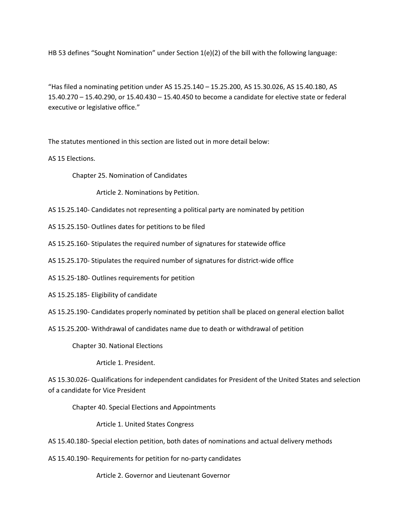HB 53 defines "Sought Nomination" under Section 1(e)(2) of the bill with the following language:

"Has filed a nominating petition under AS 15.25.140 – 15.25.200, AS 15.30.026, AS 15.40.180, AS 15.40.270 – 15.40.290, or 15.40.430 – 15.40.450 to become a candidate for elective state or federal executive or legislative office."

The statutes mentioned in this section are listed out in more detail below:

AS 15 Elections.

Chapter 25. Nomination of Candidates

Article 2. Nominations by Petition.

AS 15.25.140- Candidates not representing a political party are nominated by petition

AS 15.25.150- Outlines dates for petitions to be filed

AS 15.25.160- Stipulates the required number of signatures for statewide office

AS 15.25.170- Stipulates the required number of signatures for district-wide office

AS 15.25-180- Outlines requirements for petition

AS 15.25.185- Eligibility of candidate

AS 15.25.190- Candidates properly nominated by petition shall be placed on general election ballot

AS 15.25.200- Withdrawal of candidates name due to death or withdrawal of petition

Chapter 30. National Elections

Article 1. President.

AS 15.30.026- Qualifications for independent candidates for President of the United States and selection of a candidate for Vice President

Chapter 40. Special Elections and Appointments

Article 1. United States Congress

AS 15.40.180- Special election petition, both dates of nominations and actual delivery methods

AS 15.40.190- Requirements for petition for no-party candidates

Article 2. Governor and Lieutenant Governor